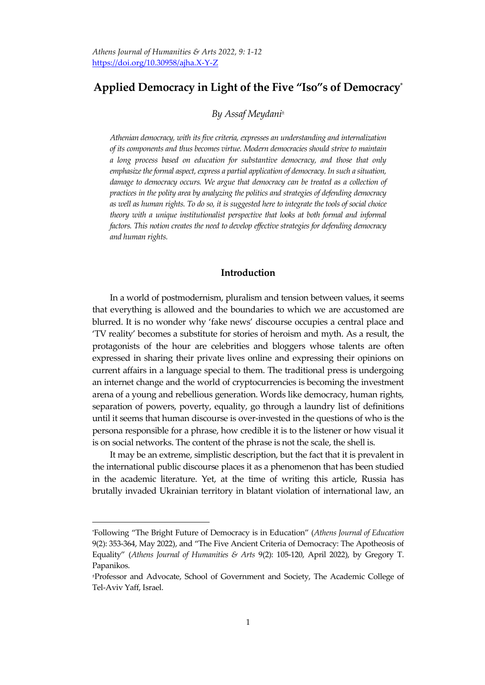# **Applied Democracy in Light of the Five "Iso"s of Democracy**\*

### *By Assaf Meydani<sup>±</sup>*

*Athenian democracy, with its five criteria, expresses an understanding and internalization of its components and thus becomes virtue. Modern democracies should strive to maintain a long process based on education for substantive democracy, and those that only emphasizetheformal aspect, express a partial application of democracy. In such a situation, damage to democracy occurs. We argue that democracy can be treated as a collection of practices in the polity area by analyzing the politics and strategies of defending democracy* as well as human rights. To do so, it is suggested here to integrate the tools of social choice *theory with a unique institutionalist perspective that looks at both formal and informal factors. This notion creates the need to develop effective strategies for defending democracy and human rights.*

## **Introduction**

In a world of postmodernism, pluralism and tension between values, it seems that everything is allowed and the boundaries to which we are accustomed are blurred. It is no wonder why 'fake news' discourse occupies a central place and 'TV reality' becomes a substitute for stories of heroism and myth. As a result, the protagonists of the hour are celebrities and bloggers whose talents are often expressed in sharing their private lives online and expressing their opinions on current affairs in a language special to them. The traditional press is undergoing an internet change and the world of cryptocurrencies is becoming the investment arena of a young and rebellious generation. Words like democracy, human rights, separation of powers, poverty, equality, go through a laundry list of definitions until it seems that human discourse is over-invested in the questions of who is the persona responsible for a phrase, how credible it is to the listener or how visual it is on social networks. The content of the phrase is not the scale, the shell is.

It may be an extreme, simplistic description, but the fact that it is prevalent in the international public discourse places it as a phenomenon that has been studied in the academic literature. Yet, at the time of writing this article, Russia has brutally invaded Ukrainian territory in blatant violation of international law, an

 $\overline{a}$ 

<sup>\*</sup>Following 'The Bright Future of Democracy is in Education' (*Athens Journal of Education* 9(2): 353-364, May 2022), and 'The Five Ancient Criteria of Democracy: The Apotheosis of Equality' (*Athens Journal of Humanities & Arts* 9(2): 105-120, April 2022), by Gregory T. Papanikos.

<sup>±</sup>Professor and Advocate, School of Government and Society, The Academic College of Tel-Aviv Yaff, Israel.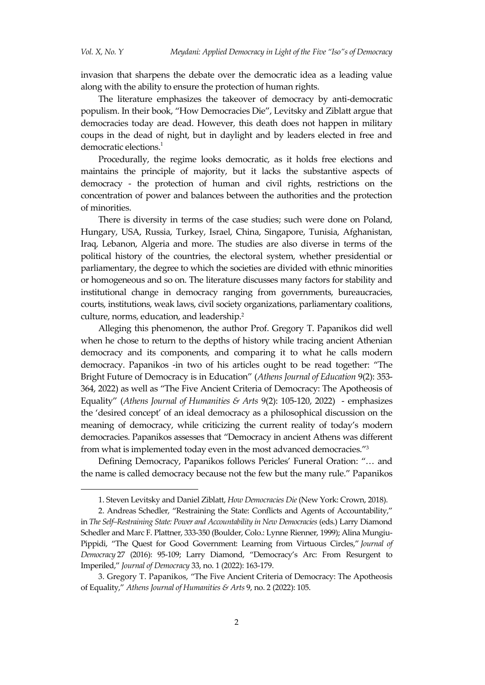invasion that sharpens the debate over the democratic idea as a leading value along with the ability to ensure the protection of human rights.

The literature emphasizes the takeover of democracy by anti-democratic populism. In their book, 'How Democracies Die', Levitsky and Ziblatt argue that democracies today are dead. However, this death does not happen in military coups in the dead of night, but in daylight and by leaders elected in free and democratic elections. 1

Procedurally, the regime looks democratic, as it holds free elections and maintains the principle of majority, but it lacks the substantive aspects of democracy - the protection of human and civil rights, restrictions on the concentration of power and balances between the authorities and the protection of minorities.

There is diversity in terms of the case studies; such were done on Poland, Hungary, USA, Russia, Turkey, Israel, China, Singapore, Tunisia, Afghanistan, Iraq, Lebanon, Algeria and more. The studies are also diverse in terms of the political history of the countries, the electoral system, whether presidential or parliamentary, the degree to which the societies are divided with ethnic minorities or homogeneous and so on. The literature discusses many factors for stability and institutional change in democracy ranging from governments, bureaucracies, courts, institutions, weak laws, civil society organizations, parliamentary coalitions, culture, norms, education, and leadership.<sup>2</sup>

Alleging this phenomenon, the author Prof. Gregory T. Papanikos did well when he chose to return to the depths of history while tracing ancient Athenian democracy and its components, and comparing it to what he calls modern democracy. Papanikos -in two of his articles ought to be read together: 'The Bright Future of Democracy is in Education' (*Athens Journal of Education* 9(2): 353- 364, 2022) as well as 'The Five Ancient Criteria of Democracy: The Apotheosis of Equality' (*Athens Journal of Humanities & Arts* 9(2): 105-120, 2022) - emphasizes the 'desired concept' of an ideal democracy as a philosophical discussion on the meaning of democracy, while criticizing the current reality of today's modern democracies. Papanikos assesses that 'Democracy in ancient Athens was different from what is implemented today even in the most advanced democracies.' 3

Defining Democracy, Papanikos follows Pericles' Funeral Oration: '… and the name is called democracy because not the few but the many rule.' Papanikos

<sup>1.</sup> Steven Levitsky and Daniel Ziblatt, *How Democracies Die* (New York: Crown, 2018).

<sup>2.</sup> Andreas Schedler, 'Restraining the State: Conflicts and Agents of Accountability,' in *The Self–Restraining State: Power and Accountability in New Democracies* (eds.) Larry Diamond Schedler and Marc F. Plattner, 333-350 (Boulder, Colo.: Lynne Rienner, 1999); Alina Mungiu-Pippidi, 'The Quest for Good Government: Learning from Virtuous Circles,' *Journal of Democracy* 27 (2016): 95-109; Larry Diamond, 'Democracy's Arc: From Resurgent to Imperiled,' *Journal of Democracy* 33, no. 1 (2022): 163-179.

<sup>3.</sup> Gregory T. Papanikos, 'The Five Ancient Criteria of Democracy: The Apotheosis of Equality,' *Athens Journal of Humanities & Arts* 9, no. 2 (2022): 105.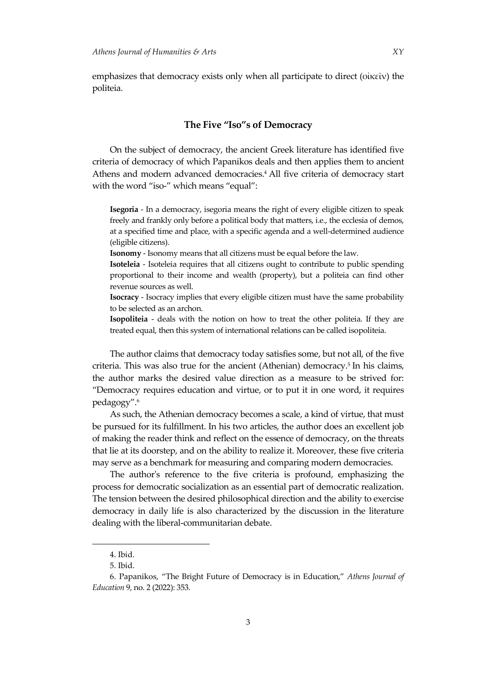emphasizes that democracy exists only when all participate to direct (οἰκεῖν) the politeia.

## **The Five "Iso"s of Democracy**

On the subject of democracy, the ancient Greek literature has identified five criteria of democracy of which Papanikos deals and then applies them to ancient Athens and modern advanced democracies. <sup>4</sup> All five criteria of democracy start with the word "iso-" which means "equal":

**Isegoria** - In a democracy, isegoria means the right of every eligible citizen to speak freely and frankly only before a political body that matters, i.e., the ecclesia of demos, at a specified time and place, with a specific agenda and a well-determined audience (eligible citizens).

**Isonomy** - Isonomy means that all citizens must be equal before the law.

**Isoteleia** - Isoteleia requires that all citizens ought to contribute to public spending proportional to their income and wealth (property), but a politeia can find other revenue sources as well.

**Isocracy** - Isocracy implies that every eligible citizen must have the same probability to be selected as an archon.

**Isopoliteia** - deals with the notion on how to treat the other politeia. If they are treated equal, then this system of international relations can be called isopoliteia.

The author claims that democracy today satisfies some, but not all, of the five criteria. This was also true for the ancient (Athenian) democracy. 5 In his claims, the author marks the desired value direction as a measure to be strived for: 'Democracy requires education and virtue, or to put it in one word, it requires pedagogy'. 6

As such, the Athenian democracy becomes a scale, a kind of virtue, that must be pursued for its fulfillment. In his two articles, the author does an excellent job of making the reader think and reflect on the essence of democracy, on the threats that lie at its doorstep, and on the ability to realize it. Moreover, these five criteria may serve as a benchmark for measuring and comparing modern democracies.

The author's reference to the five criteria is profound, emphasizing the process for democratic socialization as an essential part of democratic realization. The tension between the desired philosophical direction and the ability to exercise democracy in daily life is also characterized by the discussion in the literature dealing with the liberal-communitarian debate.

 $\overline{a}$ 

<sup>4.</sup> Ibid.

<sup>5.</sup> Ibid.

<sup>6.</sup> Papanikos, 'The Bright Future of Democracy is in Education,' *Athens Journal of Education* 9, no. 2 (2022): 353.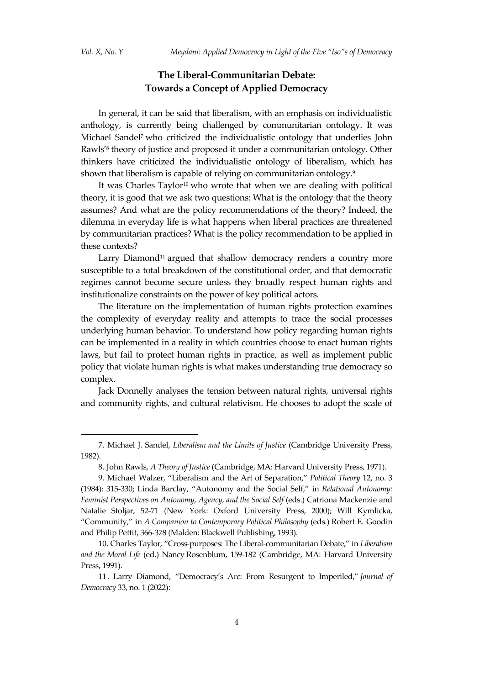## **The Liberal-Communitarian Debate: Towards a Concept of Applied Democracy**

In general, it can be said that liberalism, with an emphasis on individualistic anthology, is currently being challenged by communitarian ontology. It was Michael Sandel<sup>7</sup> who criticized the individualistic ontology that underlies John Rawls'<sup>8</sup> theory of justice and proposed it under a communitarian ontology. Other thinkers have criticized the individualistic ontology of liberalism, which has shown that liberalism is capable of relying on communitarian ontology.<sup>9</sup>

It was Charles Taylor<sup>10</sup> who wrote that when we are dealing with political theory, it is good that we ask two questions: What is the ontology that the theory assumes? And what are the policy recommendations of the theory? Indeed, the dilemma in everyday life is what happens when liberal practices are threatened by communitarian practices? What is the policy recommendation to be applied in these contexts?

Larry Diamond<sup>11</sup> argued that shallow democracy renders a country more susceptible to a total breakdown of the constitutional order, and that democratic regimes cannot become secure unless they broadly respect human rights and institutionalize constraints on the power of key political actors.

The literature on the implementation of human rights protection examines the complexity of everyday reality and attempts to trace the social processes underlying human behavior. To understand how policy regarding human rights can be implemented in a reality in which countries choose to enact human rights laws, but fail to protect human rights in practice, as well as implement public policy that violate human rights is what makes understanding true democracy so complex.

Jack Donnelly analyses the tension between natural rights, universal rights and community rights, and cultural relativism. He chooses to adopt the scale of

<sup>7.</sup> Michael J. Sandel, *Liberalism and the Limits of Justice* (Cambridge University Press, 1982).

<sup>8.</sup> John Rawls, *A Theory of Justice* (Cambridge, MA: Harvard University Press, 1971).

<sup>9.</sup> Michael Walzer, 'Liberalism and the Art of Separation,' *Political Theory* 12, no. 3 (1984): 315-330; Linda Barclay, 'Autonomy and the Social Self,' in *[Relational Autonomy:](https://philpapers.org/rec/MACRAF)  [Feminist Perspectives on Autonomy, Agency, and the Social Self](https://philpapers.org/rec/MACRAF)* (eds.) Catriona Mackenzie and Natalie Stoljar, 52-71 (New York: Oxford University Press, 2000); Will Kymlicka, 'Community,' in *A Companion to Contemporary Political Philosophy* (eds.) Robert E. Goodin and Philip Pettit, 366-378 (Malden: Blackwell Publishing, 1993).

<sup>10.</sup> Charles Taylor, 'Cross-purposes: The Liberal-communitarian Debate,' in *Liberalism and the Moral Life* (ed.) Nancy Rosenblum, 159-182 (Cambridge, MA: Harvard University Press, 1991).

<sup>11.</sup> Larry Diamond, 'Democracy's Arc: From Resurgent to Imperiled,' *Journal of Democracy* 33, no. 1 (2022):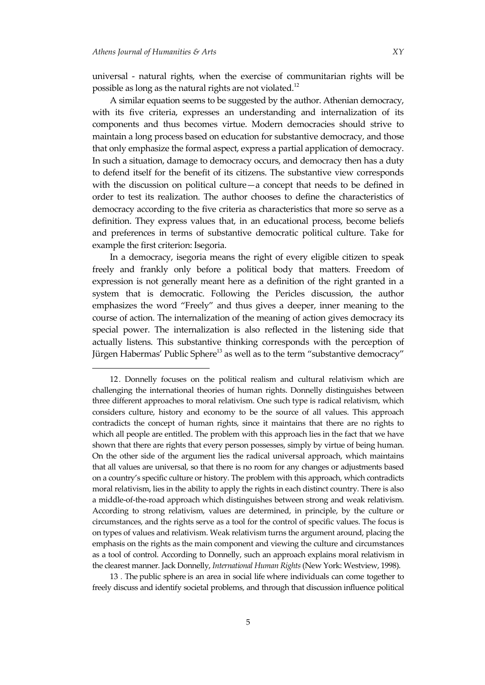universal - natural rights, when the exercise of communitarian rights will be possible as long as the natural rights are not violated.<sup>12</sup>

A similar equation seems to be suggested by the author. Athenian democracy, with its five criteria, expresses an understanding and internalization of its components and thus becomes virtue. Modern democracies should strive to maintain a long process based on education for substantive democracy, and those that only emphasize the formal aspect, express a partial application of democracy. In such a situation, damage to democracy occurs, and democracy then has a duty to defend itself for the benefit of its citizens. The substantive view corresponds with the discussion on political culture—a concept that needs to be defined in order to test its realization. The author chooses to define the characteristics of democracy according to the five criteria as characteristics that more so serve as a definition. They express values that, in an educational process, become beliefs and preferences in terms of substantive democratic political culture. Take for example the first criterion: Isegoria.

In a democracy, isegoria means the right of every eligible citizen to speak freely and frankly only before a political body that matters. Freedom of expression is not generally meant here as a definition of the right granted in a system that is democratic. Following the Pericles discussion, the author emphasizes the word 'Freely' and thus gives a deeper, inner meaning to the course of action. The internalization of the meaning of action gives democracy its special power. The internalization is also reflected in the listening side that actually listens. This substantive thinking corresponds with the perception of Jürgen Habermas' Public Sphere<sup>13</sup> as well as to the term "substantive democracy"

13 . The public sphere is an area in social life where individuals can come together to freely discuss and identify societal problems, and through that discussion influence political

<sup>12</sup>. Donnelly focuses on the political realism and cultural relativism which are challenging the international theories of human rights. Donnelly distinguishes between three different approaches to moral relativism. One such type is radical relativism, which considers culture, history and economy to be the source of all values. This approach contradicts the concept of human rights, since it maintains that there are no rights to which all people are entitled. The problem with this approach lies in the fact that we have shown that there are rights that every person possesses, simply by virtue of being human. On the other side of the argument lies the radical universal approach, which maintains that all values are universal, so that there is no room for any changes or adjustments based on a country's specific culture or history. The problem with this approach, which contradicts moral relativism, lies in the ability to apply the rights in each distinct country. There is also a middle-of-the-road approach which distinguishes between strong and weak relativism. According to strong relativism, values are determined, in principle, by the culture or circumstances, and the rights serve as a tool for the control of specific values. The focus is on types of values and relativism. Weak relativism turns the argument around, placing the emphasis on the rights as the main component and viewing the culture and circumstances as a tool of control. According to Donnelly, such an approach explains moral relativism in the clearest manner. Jack Donnelly, *International Human Rights*(New York: Westview, 1998).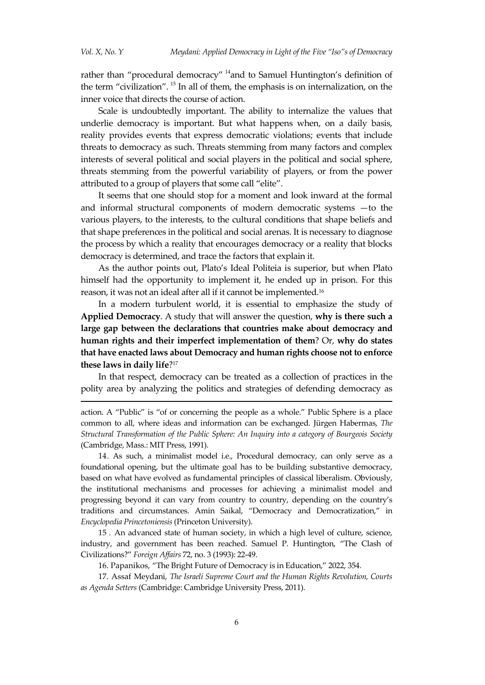rather than "procedural democracy" <sup>14</sup>and to Samuel Huntington's definition of the term "civilization". <sup>15</sup> In all of them, the emphasis is on internalization, on the inner voice that directs the course of action.

Scale is undoubtedly important. The ability to internalize the values that underlie democracy is important. But what happens when, on a daily basis, reality provides events that express democratic violations; events that include threats to democracy as such. Threats stemming from many factors and complex interests of several political and social players in the political and social sphere, threats stemming from the powerful variability of players, or from the power attributed to a group of players that some call 'elite'.

It seems that one should stop for a moment and look inward at the formal and informal structural components of modern democratic systems —to the various players, to the interests, to the cultural conditions that shape beliefs and that shape preferences in the political and social arenas. It is necessary to diagnose the process by which a reality that encourages democracy or a reality that blocks democracy is determined, and trace the factors that explain it.

As the author points out, Plato's Ideal Politeia is superior, but when Plato himself had the opportunity to implement it, he ended up in prison. For this reason, it was not an ideal after all if it cannot be implemented.<sup>16</sup>

In a modern turbulent world, it is essential to emphasize the study of **Applied Democracy**. A study that will answer the question, **why is there such a large gap between the declarations that countries make about democracy and human rights and their imperfect implementation of them**? Or, **why do states that have enacted laws about Democracy and human rights choose not to enforce these laws in daily life**? 17

In that respect, democracy can be treated as a collection of practices in the polity area by analyzing the politics and strategies of defending democracy as

action. A 'Public' is 'of or concerning the people as a whole.' Public Sphere is a place common to all, where ideas and information can be exchanged. Jürgen Habermas, *The Structural Transformation of the Public Sphere: An Inquiry into a category of Bourgeois Society* (Cambridge, Mass.: MIT Press, 1991).

14. As such, a minimalist model i.e., Procedural democracy, can only serve as a foundational opening, but the ultimate goal has to be building substantive democracy, based on what have evolved as fundamental principles of classical liberalism. Obviously, the institutional mechanisms and processes for achieving a minimalist model and progressing beyond it can vary from country to country, depending on the country's traditions and circumstances. Amin Saikal, 'Democracy and Democratization,' in *Encyclopedia Princetoniensis* (Princeton University).

15 . An advanced state of human society, in which a high level of culture, science, industry, and government has been reached. Samuel P. Huntington, 'The Clash of Civilizations?' *Foreign Affairs* 72, no. 3 [\(1993\):](https://www.jstor.org/stable/i20045614) 22-49.

16. Papanikos, 'The Bright Future of Democracy is in Education,' 2022, 354.

17. Assaf Meydani, *The Israeli Supreme Court and the Human Rights Revolution, Courts as Agenda Setters* (Cambridge: Cambridge University Press, 2011).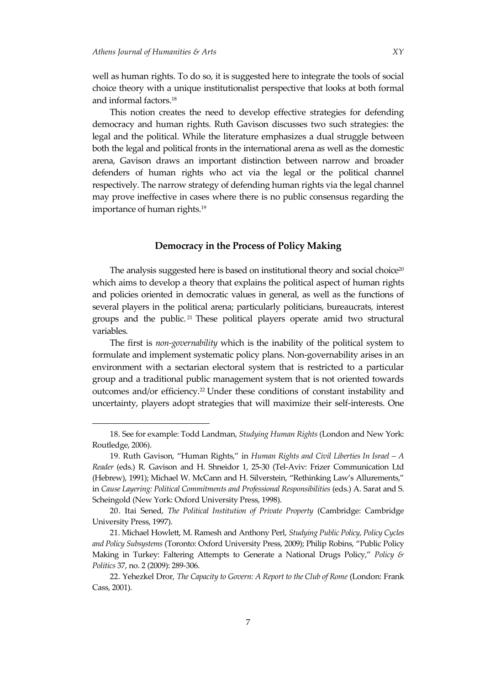well as human rights. To do so, it is suggested here to integrate the tools of social choice theory with a unique institutionalist perspective that looks at both formal and informal factors. 18

This notion creates the need to develop effective strategies for defending democracy and human rights. Ruth Gavison discusses two such strategies: the legal and the political. While the literature emphasizes a dual struggle between both the legal and political fronts in the international arena as well as the domestic arena, Gavison draws an important distinction between narrow and broader defenders of human rights who act via the legal or the political channel respectively. The narrow strategy of defending human rights via the legal channel may prove ineffective in cases where there is no public consensus regarding the importance of human rights. 19

## **Democracy in the Process of Policy Making**

The analysis suggested here is based on institutional theory and social choice<sup>20</sup> which aims to develop a theory that explains the political aspect of human rights and policies oriented in democratic values in general, as well as the functions of several players in the political arena; particularly politicians, bureaucrats, interest groups and the public. <sup>21</sup> These political players operate amid two structural variables.

The first is *non-governability* which is the inability of the political system to formulate and implement systematic policy plans. Non-governability arises in an environment with a sectarian electoral system that is restricted to a particular group and a traditional public management system that is not oriented towards outcomes and/or efficiency.<sup>22</sup> Under these conditions of constant instability and uncertainty, players adopt strategies that will maximize their self-interests. One

<sup>18.</sup> See for example: Todd Landman, *Studying Human Rights* (London and New York: Routledge, 2006).

<sup>19.</sup> Ruth Gavison, 'Human Rights,' in *Human Rights and Civil Liberties In Israel – A Reader* (eds.) R. Gavison and H. Shneidor 1, 25-30 (Tel-Aviv: Frizer Communication Ltd (Hebrew), 1991); Michael W. McCann and H. Silverstein, 'Rethinking Law's Allurements,' in *Cause Layering: Political Commitments and Professional Responsibilities* (eds.) A. Sarat and S. Scheingold (New York: Oxford University Press, 1998).

<sup>20.</sup> Itai Sened, *The Political Institution of Private Property* (Cambridge: Cambridge University Press, 1997).

<sup>21.</sup> Michael Howlett, M. Ramesh and Anthony Perl, *Studying Public Policy, Policy Cycles and Policy Subsystems* (Toronto: Oxford University Press, 2009); Philip Robins, 'Public Policy Making in Turkey: Faltering Attempts to Generate a National Drugs Policy,' *[Policy &](http://www.ingentaconnect.com/content/tpp/pap;jsessionid=b509k2nbgghuu.alexandra)  [Politics](http://www.ingentaconnect.com/content/tpp/pap;jsessionid=b509k2nbgghuu.alexandra)* 37, no. 2 (2009): 289-306.

<sup>22.</sup> Yehezkel Dror, *The Capacity to Govern: A Report to the Club of Rome* (London: Frank Cass, 2001).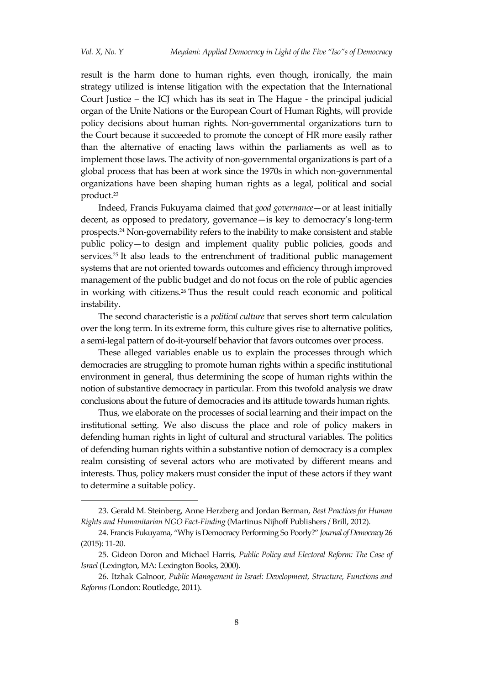result is the harm done to human rights, even though, ironically, the main strategy utilized is intense litigation with the expectation that the International Court Justice – the ICJ which has its seat in The Hague - the principal judicial organ of the Unite Nations or the [European Court of Human Rights,](https://en.wikipedia.org/wiki/European_Court_of_Human_Rights) will provide policy decisions about human rights. Non-governmental organizations turn to the Court because it succeeded to promote the concept of HR more easily rather than the alternative of enacting laws within the parliaments as well as to implement those laws. The activity of non-governmental organizations is part of a global process that has been at work since the 1970s in which non-governmental organizations have been shaping human rights as a legal, political and social product. 23

Indeed, Francis Fukuyama claimed that *good governance*—or at least initially decent, as opposed to predatory, governance—is key to democracy's long-term prospects.<sup>24</sup> Non-governability refers to the inability to make consistent and stable public policy—to design and implement quality public policies, goods and services.<sup>25</sup> It also leads to the entrenchment of traditional public management systems that are not oriented towards outcomes and efficiency through improved management of the public budget and do not focus on the role of public agencies in working with citizens.<sup>26</sup> Thus the result could reach economic and political instability.

The second characteristic is a *political culture* that serves short term calculation over the long term*.* In its extreme form, this culture gives rise to alternative politics, a semi-legal pattern of do-it-yourself behavior that favors outcomes over process.

These alleged variables enable us to explain the processes through which democracies are struggling to promote human rights within a specific institutional environment in general, thus determining the scope of human rights within the notion of substantive democracy in particular. From this twofold analysis we draw conclusions about the future of democracies and its attitude towards human rights.

Thus, we elaborate on the processes of social learning and their impact on the institutional setting. We also discuss the place and role of policy makers in defending human rights in light of cultural and structural variables. The politics of defending human rights within a substantive notion of democracy is a complex realm consisting of several actors who are motivated by different means and interests. Thus, policy makers must consider the input of these actors if they want to determine a suitable policy.

<sup>23.</sup> Gerald M. Steinberg, Anne Herzberg and Jordan Berman, *Best Practices for Human Rights and Humanitarian NGO Fact-Finding* (Martinus Nijhoff Publishers / Brill, 2012).

<sup>24.</sup> Francis Fukuyama, 'Why is Democracy Performing So Poorly?' *Journal of Democracy* 26 (2015): 11-20.

<sup>25.</sup> Gideon Doron and Michael Harris, *Public Policy and Electoral Reform: The Case of Israel* (Lexington, MA: Lexington Books, 2000).

<sup>26.</sup> Itzhak Galnoor*, Public Management in Israel: Development, Structure, Functions and Reforms (*London: Routledge, 2011).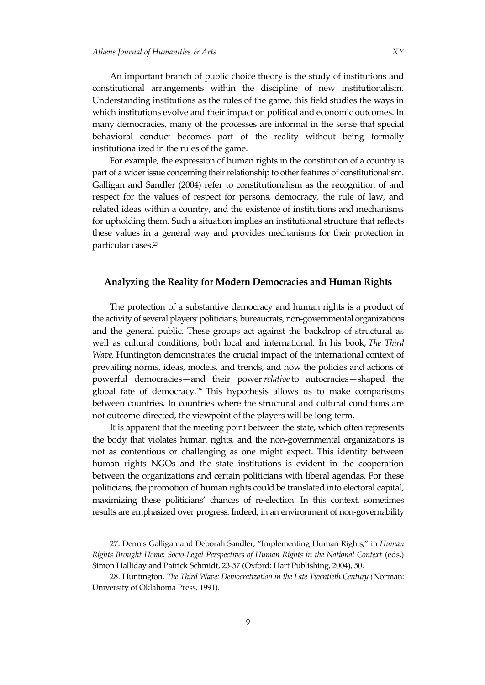An important branch of public choice theory is the study of institutions and constitutional arrangements within the discipline of new institutionalism. Understanding institutions as the rules of the game, this field studies the ways in which institutions evolve and their impact on political and economic outcomes. In

many democracies, many of the processes are informal in the sense that special behavioral conduct becomes part of the reality without being formally institutionalized in the rules of the game. For example, the expression of human rights in the constitution of a country is

part of a wider issue concerning their relationship to other features of constitutionalism. Galligan and Sandler (2004) refer to constitutionalism as the recognition of and respect for the values of respect for persons, democracy, the rule of law, and related ideas within a country, and the existence of institutions and mechanisms for upholding them. Such a situation implies an institutional structure that reflects these values in a general way and provides mechanisms for their protection in particular cases. 27

### **Analyzing the Reality for Modern Democracies and Human Rights**

The protection of a substantive democracy and human rights is a product of the activity of several players: politicians, bureaucrats, non-governmental organizations and the general public. These groups act against the backdrop of structural as well as cultural conditions, both local and international. In his book, *The Third Wave,* Huntington demonstrates the crucial impact of the international context of prevailing norms, ideas, models, and trends, and how the policies and actions of powerful democracies—and their power *relative* to autocracies—shaped the global fate of democracy.<sup>28</sup> This hypothesis allows us to make comparisons between countries. In countries where the structural and cultural conditions are not outcome-directed, the viewpoint of the players will be long-term.

It is apparent that the meeting point between the state, which often represents the body that violates human rights, and the non-governmental organizations is not as contentious or challenging as one might expect. This identity between human rights NGOs and the state institutions is evident in the cooperation between the organizations and certain politicians with liberal agendas. For these politicians, the promotion of human rights could be translated into electoral capital, maximizing these politicians' chances of re-election. In this context, sometimes results are emphasized over progress. Indeed, in an environment of non-governability

<sup>27.</sup> Dennis Galligan and Deborah Sandler, 'Implementing Human Rights,' in *Human Rights Brought Home: Socio-Legal Perspectives of Human Rights in the National Context* (eds.) Simon Halliday and Patrick Schmidt, 23-57 (Oxford: Hart Publishing, 2004), 50.

<sup>28.</sup> Huntington, *The Third Wave: Democratization in the Late Twentieth Century (*Norman: University of Oklahoma Press, 1991).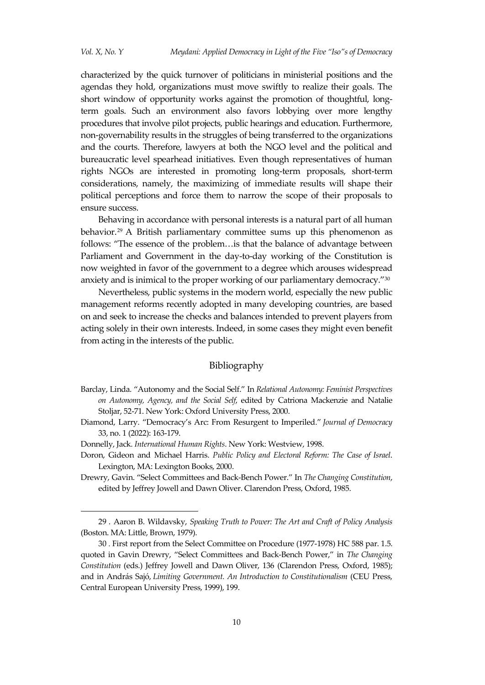characterized by the quick turnover of politicians in ministerial positions and the agendas they hold, organizations must move swiftly to realize their goals. The short window of opportunity works against the promotion of thoughtful, longterm goals. Such an environment also favors lobbying over more lengthy procedures that involve pilot projects, public hearings and education. Furthermore, non-governability results in the struggles of being transferred to the organizations and the courts. Therefore, lawyers at both the NGO level and the political and bureaucratic level spearhead initiatives. Even though representatives of human rights NGOs are interested in promoting long-term proposals, short-term considerations, namely, the maximizing of immediate results will shape their political perceptions and force them to narrow the scope of their proposals to ensure success.

Behaving in accordance with personal interests is a natural part of all human behavior. <sup>29</sup> A British parliamentary committee sums up this phenomenon as follows: 'The essence of the problem…is that the balance of advantage between Parliament and Government in the day-to-day working of the Constitution is now weighted in favor of the government to a degree which arouses widespread anxiety and is inimical to the proper working of our parliamentary democracy.'<sup>30</sup>

Nevertheless, public systems in the modern world, especially the new public management reforms recently adopted in many developing countries, are based on and seek to increase the checks and balances intended to prevent players from acting solely in their own interests. Indeed, in some cases they might even benefit from acting in the interests of the public.

### Bibliography

- Barclay, Linda. 'Autonomy and the Social Self.' In *[Relational Autonomy: Feminist Perspectives](https://philpapers.org/rec/MACRAF)  [on Autonomy, Agency, and the Social Self](https://philpapers.org/rec/MACRAF)*, edited by Catriona Mackenzie and Natalie Stoljar, 52-71. New York: Oxford University Press, 2000.
- Diamond, Larry. 'Democracy's Arc: From Resurgent to Imperiled.' *Journal of Democracy* 33, no. 1 (2022): 163-179.
- Donnelly, Jack. *International Human Rights*. New York: Westview, 1998.
- Doron, Gideon and Michael Harris. *Public Policy and Electoral Reform: The Case of Israel*. Lexington, MA: Lexington Books, 2000.
- Drewry, Gavin. 'Select Committees and Back-Bench Power.' In *The Changing Constitution*, edited by Jeffrey Jowell and Dawn Oliver. Clarendon Press, Oxford, 1985.

<sup>29</sup> . Aaron B. Wildavsky, *Speaking Truth to Power: The Art and Craft of Policy Analysis* (Boston. MA: Little, Brown, 1979).

<sup>30</sup> . First report from the Select Committee on Procedure (1977-1978) HC 588 par. 1.5. quoted in Gavin Drewry, 'Select Committees and Back-Bench Power,' in *The Changing Constitution* (eds.) Jeffrey Jowell and Dawn Oliver, 136 (Clarendon Press, Oxford, 1985); and in András Sajó, *Limiting Government. An Introduction to Constitutionalism* (CEU Press, Central European University Press, 1999), 199.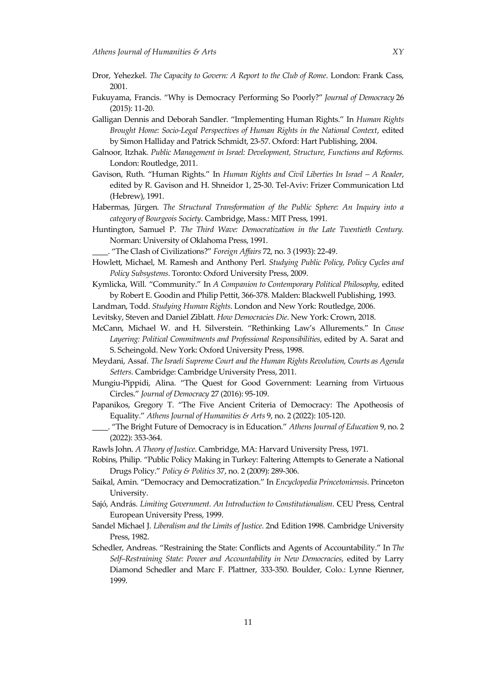- Dror, Yehezkel. *The Capacity to Govern: A Report to the Club of Rome*. London: Frank Cass, 2001.
- Fukuyama, Francis. 'Why is Democracy Performing So Poorly?' *Journal of Democracy* 26 (2015): 11-20.
- Galligan Dennis and Deborah Sandler. 'Implementing Human Rights.' In *Human Rights Brought Home: Socio-Legal Perspectives of Human Rights in the National Context*, edited by Simon Halliday and Patrick Schmidt, 23-57. Oxford: Hart Publishing, 2004.
- Galnoor*,* Itzhak*. Public Management in Israel: Development, Structure, Functions and Reforms.* London: Routledge, 2011.
- Gavison, Ruth. 'Human Rights.' In *Human Rights and Civil Liberties In Israel – A Reader*, edited by R. Gavison and H. Shneidor 1, 25-30. Tel-Aviv: Frizer Communication Ltd (Hebrew), 1991.
- Habermas, Jürgen*. The Structural Transformation of the Public Sphere: An Inquiry into a category of Bourgeois Society*. Cambridge, Mass.: MIT Press, 1991.
- Huntington, Samuel P. *The Third Wave: Democratization in the Late Twentieth Century.*  Norman: University of Oklahoma Press, 1991.

\_\_\_\_. 'The Clash of Civilizations?' *Foreign Affairs* 72, no. 3 [\(1993\):](https://www.jstor.org/stable/i20045614) 22-49.

- Howlett, Michael, M. Ramesh and Anthony Perl. *Studying Public Policy, Policy Cycles and Policy Subsystems*. Toronto: Oxford University Press, 2009.
- Kymlicka, Will. 'Community.' In *A Companion to Contemporary Political Philosophy,* edited by Robert E. Goodin and Philip Pettit, 366-378. Malden: Blackwell Publishing, 1993.
- Landman, Todd. *Studying Human Rights*. London and New York: Routledge, 2006.
- Levitsky, Steven and Daniel Ziblatt. *How Democracies Die*. New York: Crown, 2018.
- McCann, Michael W. and H. Silverstein. 'Rethinking Law's Allurements.' In *Cause Layering: Political Commitments and Professional Responsibilities*, edited by A. Sarat and S. Scheingold. New York: Oxford University Press, 1998.
- Meydani, Assaf. *The Israeli Supreme Court and the Human Rights Revolution, Courts as Agenda Setters*. Cambridge: Cambridge University Press, 2011.
- Mungiu-Pippidi, Alina. 'The Quest for Good Government: Learning from Virtuous Circles.' *Journal of Democracy* 27 (2016): 95-109.
- Papanikos, Gregory T. 'The Five Ancient Criteria of Democracy: The Apotheosis of Equality.' *Athens Journal of Humanities & Arts* 9, no. 2 (2022): 105-120.
- \_\_\_\_. 'The Bright Future of Democracy is in Education.' *Athens Journal of Education* 9, no. 2 (2022): 353-364.
- Rawls John. *A Theory of Justice*. Cambridge, MA: Harvard University Press, 1971.
- Robins, Philip. 'Public Policy Making in Turkey: Faltering Attempts to Generate a National Drugs Policy.' *[Policy & Politics](http://www.ingentaconnect.com/content/tpp/pap;jsessionid=b509k2nbgghuu.alexandra)* 37, no. 2 (2009): 289-306.
- Saikal, Amin. 'Democracy and Democratization.' In *Encyclopedia Princetoniensis*. Princeton University.
- Sajó, András. *Limiting Government. An Introduction to Constitutionalism*. CEU Press, Central European University Press, 1999.
- Sandel Michael J. *Liberalism and the Limits of Justice*. 2nd Edition 1998. Cambridge University Press, 1982.
- Schedler, Andreas. 'Restraining the State: Conflicts and Agents of Accountability.' In *The Self–Restraining State: Power and Accountability in New Democracies*, edited by Larry Diamond Schedler and Marc F. Plattner, 333-350. Boulder, Colo.: Lynne Rienner, 1999.